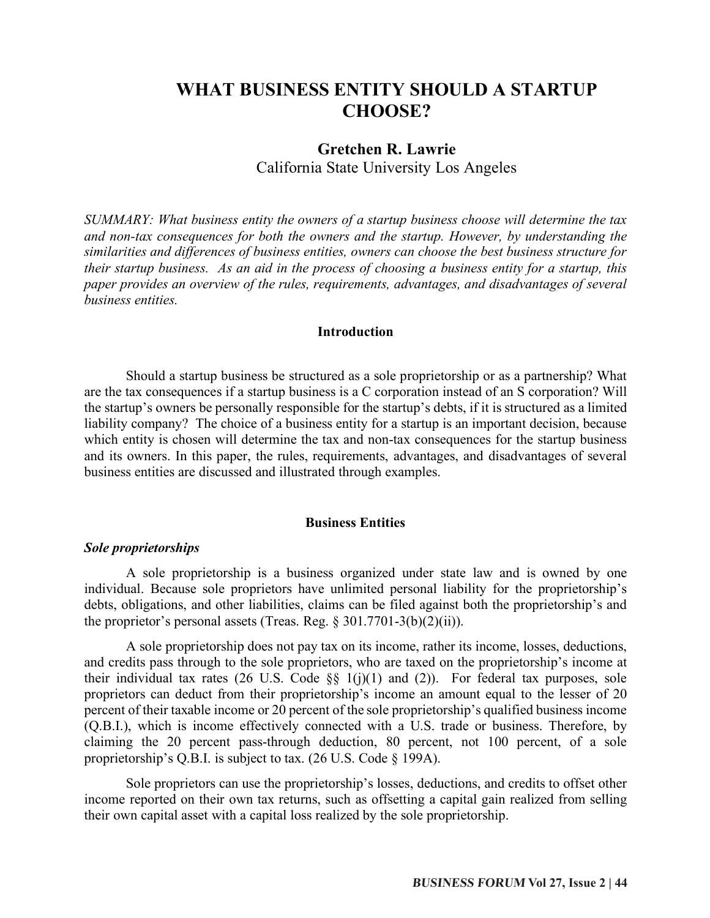# **WHAT BUSINESS ENTITY SHOULD A STARTUP CHOOSE?**

## **Gretchen R. Lawrie** California State University Los Angeles

*SUMMARY: What business entity the owners of a startup business choose will determine the tax and non-tax consequences for both the owners and the startup. However, by understanding the similarities and differences of business entities, owners can choose the best business structure for their startup business. As an aid in the process of choosing a business entity for a startup, this paper provides an overview of the rules, requirements, advantages, and disadvantages of several business entities.*

## **Introduction**

Should a startup business be structured as a sole proprietorship or as a partnership? What are the tax consequences if a startup business is a C corporation instead of an S corporation? Will the startup's owners be personally responsible for the startup's debts, if it is structured as a limited liability company? The choice of a business entity for a startup is an important decision, because which entity is chosen will determine the tax and non-tax consequences for the startup business and its owners. In this paper, the rules, requirements, advantages, and disadvantages of several business entities are discussed and illustrated through examples.

#### **Business Entities**

### *Sole proprietorships*

A sole proprietorship is a business organized under state law and is owned by one individual. Because sole proprietors have unlimited personal liability for the proprietorship's debts, obligations, and other liabilities, claims can be filed against both the proprietorship's and the proprietor's personal assets (Treas. Reg.  $\S 301.7701-3(b)(2)(ii)$ ).

A sole proprietorship does not pay tax on its income, rather its income, losses, deductions, and credits pass through to the sole proprietors, who are taxed on the proprietorship's income at their individual tax rates (26 U.S. Code  $\S$ § 1(j)(1) and (2)). For federal tax purposes, sole proprietors can deduct from their proprietorship's income an amount equal to the lesser of 20 percent of their taxable income or 20 percent of the sole proprietorship's qualified business income (Q.B.I.), which is income effectively connected with a U.S. trade or business. Therefore, by claiming the 20 percent pass-through deduction, 80 percent, not 100 percent, of a sole proprietorship's Q.B.I. is subject to tax. (26 U.S. Code § 199A).

Sole proprietors can use the proprietorship's losses, deductions, and credits to offset other income reported on their own tax returns, such as offsetting a capital gain realized from selling their own capital asset with a capital loss realized by the sole proprietorship.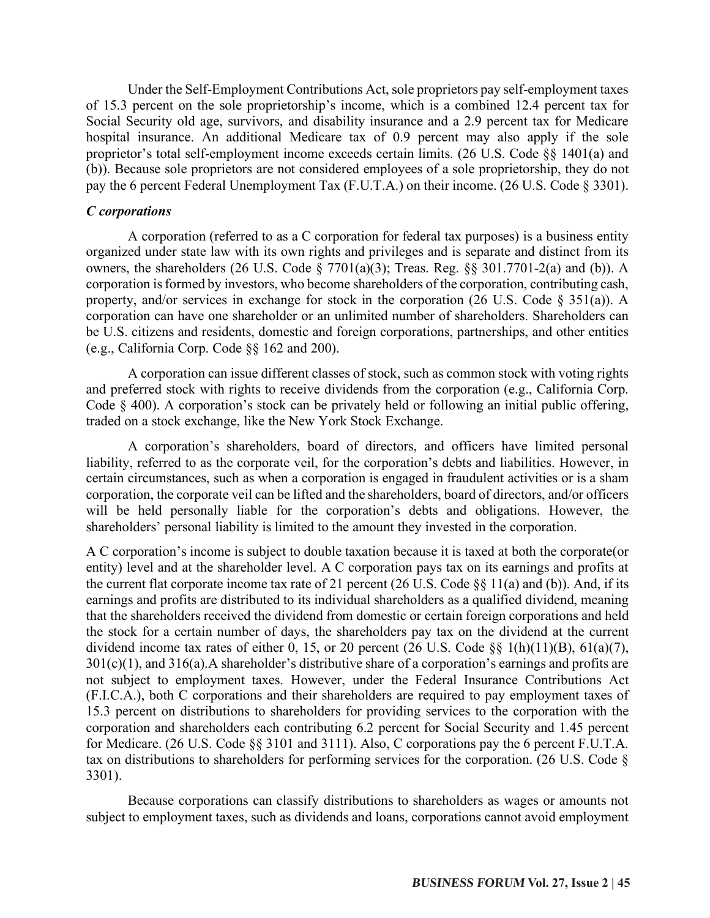Under the Self-Employment Contributions Act, sole proprietors pay self-employment taxes of 15.3 percent on the sole proprietorship's income, which is a combined 12.4 percent tax for Social Security old age, survivors, and disability insurance and a 2.9 percent tax for Medicare hospital insurance. An additional Medicare tax of 0.9 percent may also apply if the sole proprietor's total self-employment income exceeds certain limits. (26 U.S. Code §§ 1401(a) and (b)). Because sole proprietors are not considered employees of a sole proprietorship, they do not pay the 6 percent Federal Unemployment Tax (F.U.T.A.) on their income. (26 U.S. Code § 3301).

## *C corporations*

A corporation (referred to as a C corporation for federal tax purposes) is a business entity organized under state law with its own rights and privileges and is separate and distinct from its owners, the shareholders (26 U.S. Code  $\S$  7701(a)(3); Treas. Reg.  $\S$ § 301.7701-2(a) and (b)). A corporation is formed by investors, who become shareholders of the corporation, contributing cash, property, and/or services in exchange for stock in the corporation (26 U.S. Code § 351(a)). A corporation can have one shareholder or an unlimited number of shareholders. Shareholders can be U.S. citizens and residents, domestic and foreign corporations, partnerships, and other entities (e.g., California Corp. Code §§ 162 and 200).

A corporation can issue different classes of stock, such as common stock with voting rights and preferred stock with rights to receive dividends from the corporation (e.g., California Corp. Code § 400). A corporation's stock can be privately held or following an initial public offering, traded on a stock exchange, like the New York Stock Exchange.

A corporation's shareholders, board of directors, and officers have limited personal liability, referred to as the corporate veil, for the corporation's debts and liabilities. However, in certain circumstances, such as when a corporation is engaged in fraudulent activities or is a sham corporation, the corporate veil can be lifted and the shareholders, board of directors, and/or officers will be held personally liable for the corporation's debts and obligations. However, the shareholders' personal liability is limited to the amount they invested in the corporation.

A C corporation's income is subject to double taxation because it is taxed at both the corporate(or entity) level and at the shareholder level. A C corporation pays tax on its earnings and profits at the current flat corporate income tax rate of 21 percent (26 U.S. Code §§ 11(a) and (b)). And, if its earnings and profits are distributed to its individual shareholders as a qualified dividend, meaning that the shareholders received the dividend from domestic or certain foreign corporations and held the stock for a certain number of days, the shareholders pay tax on the dividend at the current dividend income tax rates of either 0, 15, or 20 percent (26 U.S. Code  $\S$ § 1(h)(11)(B), 61(a)(7),  $301(c)(1)$ , and  $316(a)$ . A shareholder's distributive share of a corporation's earnings and profits are not subject to employment taxes. However, under the Federal Insurance Contributions Act (F.I.C.A.), both C corporations and their shareholders are required to pay employment taxes of 15.3 percent on distributions to shareholders for providing services to the corporation with the corporation and shareholders each contributing 6.2 percent for Social Security and 1.45 percent for Medicare. (26 U.S. Code §§ 3101 and 3111). Also, C corporations pay the 6 percent F.U.T.A. tax on distributions to shareholders for performing services for the corporation. (26 U.S. Code § 3301).

Because corporations can classify distributions to shareholders as wages or amounts not subject to employment taxes, such as dividends and loans, corporations cannot avoid employment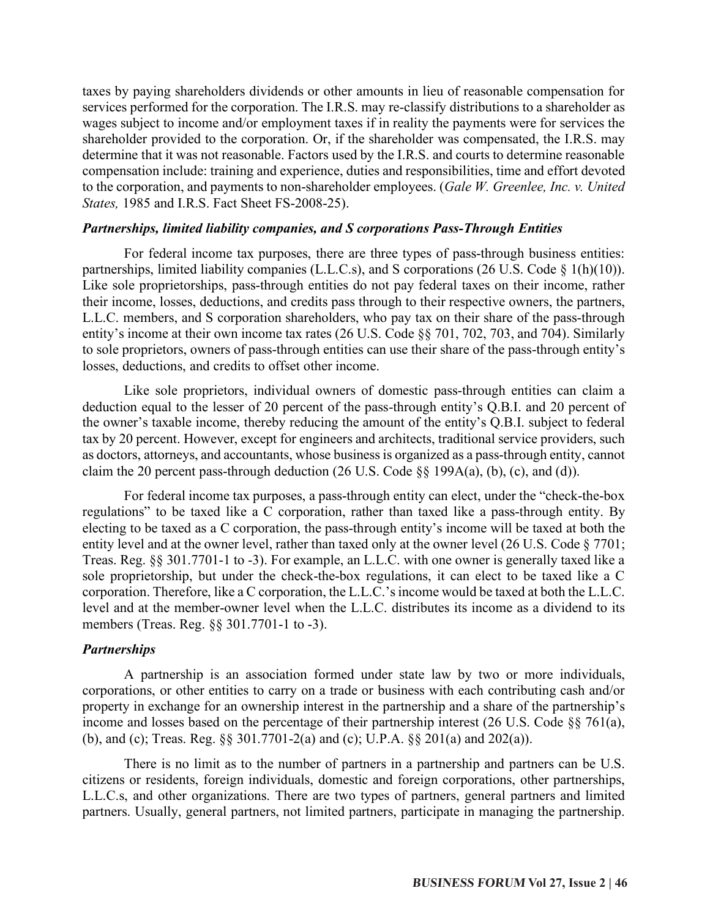taxes by paying shareholders dividends or other amounts in lieu of reasonable compensation for services performed for the corporation. The I.R.S. may re-classify distributions to a shareholder as wages subject to income and/or employment taxes if in reality the payments were for services the shareholder provided to the corporation. Or, if the shareholder was compensated, the I.R.S. may determine that it was not reasonable. Factors used by the I.R.S. and courts to determine reasonable compensation include: training and experience, duties and responsibilities, time and effort devoted to the corporation, and payments to non-shareholder employees. (*Gale W. Greenlee, Inc. v. United States,* 1985 and I.R.S. Fact Sheet FS-2008-25).

### *Partnerships, limited liability companies, and S corporations Pass-Through Entities*

For federal income tax purposes, there are three types of pass-through business entities: partnerships, limited liability companies (L.L.C.s), and S corporations (26 U.S. Code § 1(h)(10)). Like sole proprietorships, pass-through entities do not pay federal taxes on their income, rather their income, losses, deductions, and credits pass through to their respective owners, the partners, L.L.C. members, and S corporation shareholders, who pay tax on their share of the pass-through entity's income at their own income tax rates (26 U.S. Code §§ 701, 702, 703, and 704). Similarly to sole proprietors, owners of pass-through entities can use their share of the pass-through entity's losses, deductions, and credits to offset other income.

Like sole proprietors, individual owners of domestic pass-through entities can claim a deduction equal to the lesser of 20 percent of the pass-through entity's Q.B.I. and 20 percent of the owner's taxable income, thereby reducing the amount of the entity's Q.B.I. subject to federal tax by 20 percent. However, except for engineers and architects, traditional service providers, such as doctors, attorneys, and accountants, whose business is organized as a pass-through entity, cannot claim the 20 percent pass-through deduction  $(26 \text{ U.S. Code } \S \S 199A(a), (b), (c),$  and (d)).

For federal income tax purposes, a pass-through entity can elect, under the "check-the-box regulations" to be taxed like a C corporation, rather than taxed like a pass-through entity. By electing to be taxed as a C corporation, the pass-through entity's income will be taxed at both the entity level and at the owner level, rather than taxed only at the owner level (26 U.S. Code § 7701; Treas. Reg. §§ 301.7701-1 to -3). For example, an L.L.C. with one owner is generally taxed like a sole proprietorship, but under the check-the-box regulations, it can elect to be taxed like a C corporation. Therefore, like a C corporation, the L.L.C.'s income would be taxed at both the L.L.C. level and at the member-owner level when the L.L.C. distributes its income as a dividend to its members (Treas. Reg. §§ 301.7701-1 to -3).

## *Partnerships*

A partnership is an association formed under state law by two or more individuals, corporations, or other entities to carry on a trade or business with each contributing cash and/or property in exchange for an ownership interest in the partnership and a share of the partnership's income and losses based on the percentage of their partnership interest (26 U.S. Code §§ 761(a), (b), and (c); Treas. Reg. §§ 301.7701-2(a) and (c); U.P.A. §§ 201(a) and 202(a)).

There is no limit as to the number of partners in a partnership and partners can be U.S. citizens or residents, foreign individuals, domestic and foreign corporations, other partnerships, L.L.C.s, and other organizations. There are two types of partners, general partners and limited partners. Usually, general partners, not limited partners, participate in managing the partnership.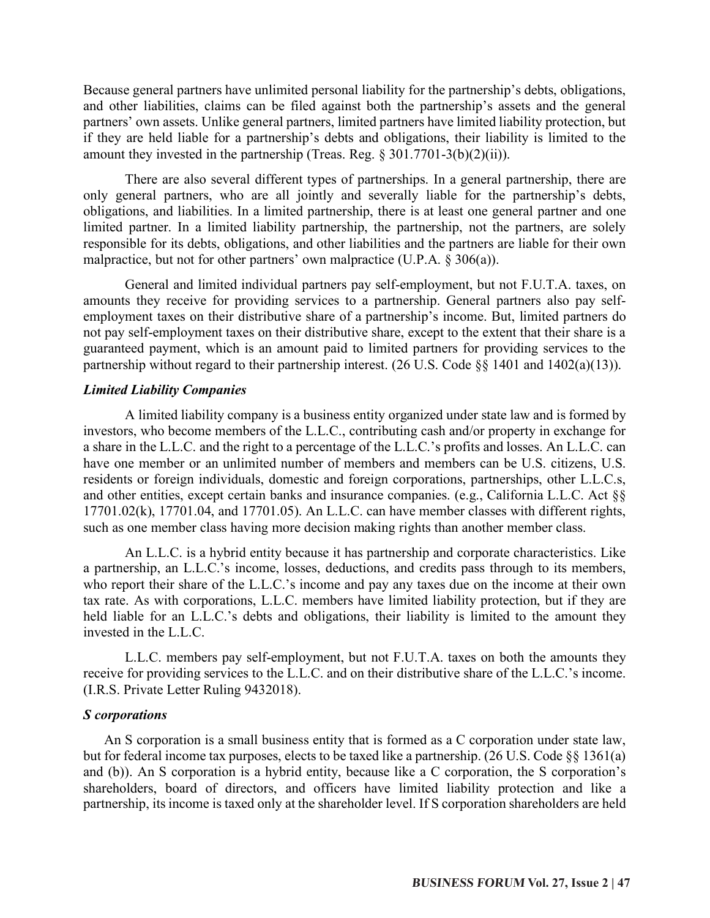Because general partners have unlimited personal liability for the partnership's debts, obligations, and other liabilities, claims can be filed against both the partnership's assets and the general partners' own assets. Unlike general partners, limited partners have limited liability protection, but if they are held liable for a partnership's debts and obligations, their liability is limited to the amount they invested in the partnership (Treas. Reg.  $\S 301.7701-3(b)(2)(ii)$ ).

There are also several different types of partnerships. In a general partnership, there are only general partners, who are all jointly and severally liable for the partnership's debts, obligations, and liabilities. In a limited partnership, there is at least one general partner and one limited partner. In a limited liability partnership, the partnership, not the partners, are solely responsible for its debts, obligations, and other liabilities and the partners are liable for their own malpractice, but not for other partners' own malpractice (U.P.A. § 306(a)).

General and limited individual partners pay self-employment, but not F.U.T.A. taxes, on amounts they receive for providing services to a partnership. General partners also pay selfemployment taxes on their distributive share of a partnership's income. But, limited partners do not pay self-employment taxes on their distributive share, except to the extent that their share is a guaranteed payment, which is an amount paid to limited partners for providing services to the partnership without regard to their partnership interest. (26 U.S. Code §§ 1401 and 1402(a)(13)).

## *Limited Liability Companies*

A limited liability company is a business entity organized under state law and is formed by investors, who become members of the L.L.C., contributing cash and/or property in exchange for a share in the L.L.C. and the right to a percentage of the L.L.C.'s profits and losses. An L.L.C. can have one member or an unlimited number of members and members can be U.S. citizens, U.S. residents or foreign individuals, domestic and foreign corporations, partnerships, other L.L.C.s, and other entities, except certain banks and insurance companies. (e.g., California L.L.C. Act §§ 17701.02(k), 17701.04, and 17701.05). An L.L.C. can have member classes with different rights, such as one member class having more decision making rights than another member class.

An L.L.C. is a hybrid entity because it has partnership and corporate characteristics. Like a partnership, an L.L.C.'s income, losses, deductions, and credits pass through to its members, who report their share of the L.L.C.'s income and pay any taxes due on the income at their own tax rate. As with corporations, L.L.C. members have limited liability protection, but if they are held liable for an L.L.C.'s debts and obligations, their liability is limited to the amount they invested in the L.L.C.

L.L.C. members pay self-employment, but not F.U.T.A. taxes on both the amounts they receive for providing services to the L.L.C. and on their distributive share of the L.L.C.'s income. (I.R.S. Private Letter Ruling 9432018).

## *S corporations*

An S corporation is a small business entity that is formed as a C corporation under state law, but for federal income tax purposes, elects to be taxed like a partnership. (26 U.S. Code §§ 1361(a) and (b)). An S corporation is a hybrid entity, because like a C corporation, the S corporation's shareholders, board of directors, and officers have limited liability protection and like a partnership, its income is taxed only at the shareholder level. If S corporation shareholders are held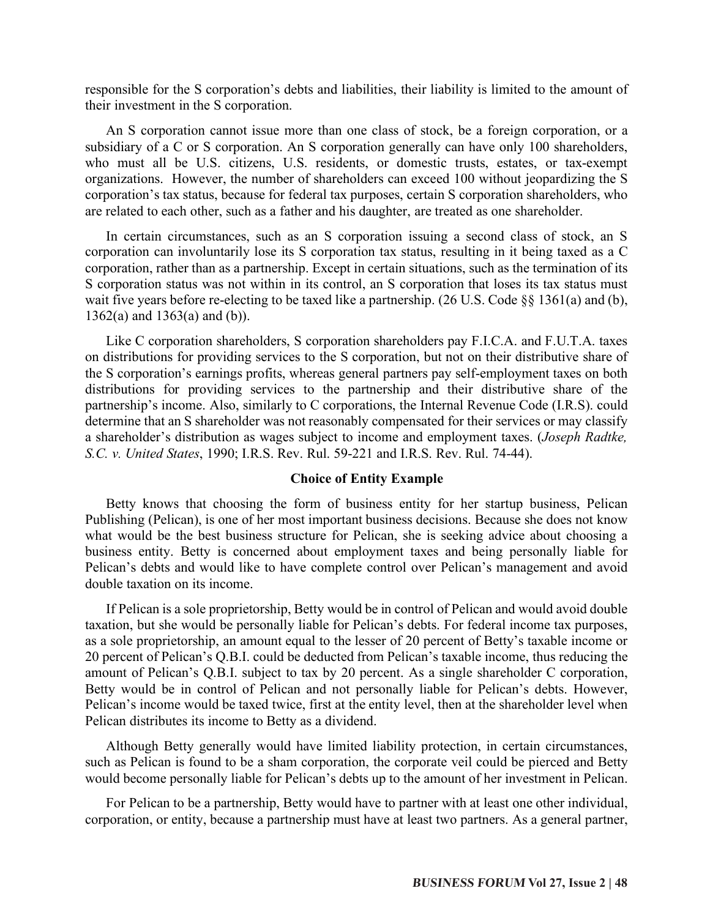responsible for the S corporation's debts and liabilities, their liability is limited to the amount of their investment in the S corporation.

An S corporation cannot issue more than one class of stock, be a foreign corporation, or a subsidiary of a C or S corporation. An S corporation generally can have only 100 shareholders, who must all be U.S. citizens, U.S. residents, or domestic trusts, estates, or tax-exempt organizations. However, the number of shareholders can exceed 100 without jeopardizing the S corporation's tax status, because for federal tax purposes, certain S corporation shareholders, who are related to each other, such as a father and his daughter, are treated as one shareholder.

In certain circumstances, such as an S corporation issuing a second class of stock, an S corporation can involuntarily lose its S corporation tax status, resulting in it being taxed as a C corporation, rather than as a partnership. Except in certain situations, such as the termination of its S corporation status was not within in its control, an S corporation that loses its tax status must wait five years before re-electing to be taxed like a partnership. (26 U.S. Code §§ 1361(a) and (b), 1362(a) and 1363(a) and (b)).

Like C corporation shareholders, S corporation shareholders pay F.I.C.A. and F.U.T.A. taxes on distributions for providing services to the S corporation, but not on their distributive share of the S corporation's earnings profits, whereas general partners pay self-employment taxes on both distributions for providing services to the partnership and their distributive share of the partnership's income. Also, similarly to C corporations, the Internal Revenue Code (I.R.S). could determine that an S shareholder was not reasonably compensated for their services or may classify a shareholder's distribution as wages subject to income and employment taxes. (*Joseph Radtke, S.C. v. United States*, 1990; I.R.S. Rev. Rul. 59-221 and I.R.S. Rev. Rul. 74-44).

### **Choice of Entity Example**

Betty knows that choosing the form of business entity for her startup business, Pelican Publishing (Pelican), is one of her most important business decisions. Because she does not know what would be the best business structure for Pelican, she is seeking advice about choosing a business entity. Betty is concerned about employment taxes and being personally liable for Pelican's debts and would like to have complete control over Pelican's management and avoid double taxation on its income.

If Pelican is a sole proprietorship, Betty would be in control of Pelican and would avoid double taxation, but she would be personally liable for Pelican's debts. For federal income tax purposes, as a sole proprietorship, an amount equal to the lesser of 20 percent of Betty's taxable income or 20 percent of Pelican's Q.B.I. could be deducted from Pelican's taxable income, thus reducing the amount of Pelican's Q.B.I. subject to tax by 20 percent. As a single shareholder C corporation, Betty would be in control of Pelican and not personally liable for Pelican's debts. However, Pelican's income would be taxed twice, first at the entity level, then at the shareholder level when Pelican distributes its income to Betty as a dividend.

Although Betty generally would have limited liability protection, in certain circumstances, such as Pelican is found to be a sham corporation, the corporate veil could be pierced and Betty would become personally liable for Pelican's debts up to the amount of her investment in Pelican.

For Pelican to be a partnership, Betty would have to partner with at least one other individual, corporation, or entity, because a partnership must have at least two partners. As a general partner,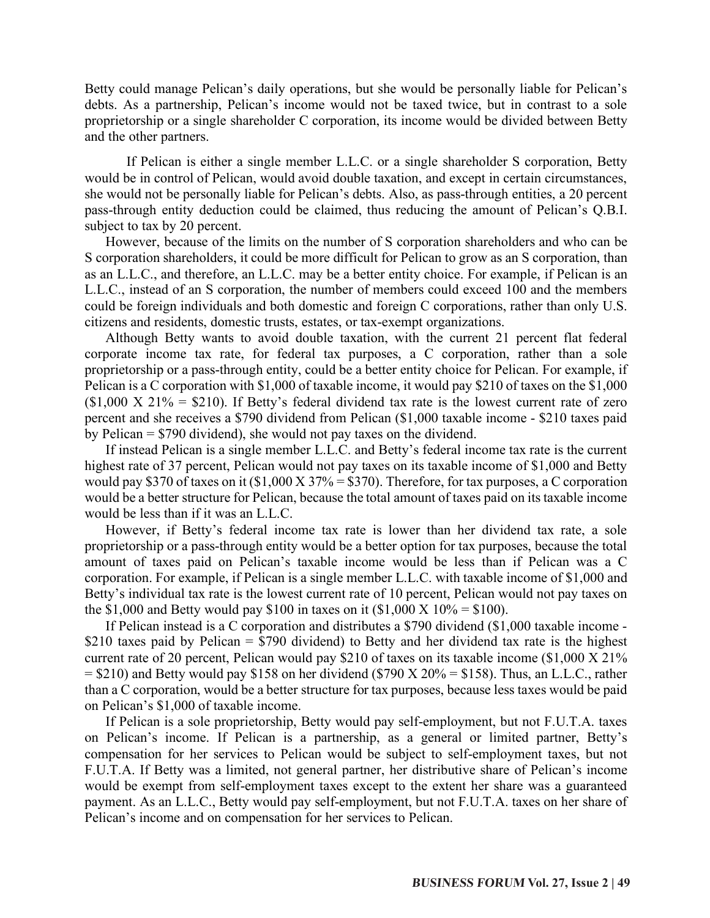Betty could manage Pelican's daily operations, but she would be personally liable for Pelican's debts. As a partnership, Pelican's income would not be taxed twice, but in contrast to a sole proprietorship or a single shareholder C corporation, its income would be divided between Betty and the other partners.

If Pelican is either a single member L.L.C. or a single shareholder S corporation, Betty would be in control of Pelican, would avoid double taxation, and except in certain circumstances, she would not be personally liable for Pelican's debts. Also, as pass-through entities, a 20 percent pass-through entity deduction could be claimed, thus reducing the amount of Pelican's Q.B.I. subject to tax by 20 percent.

However, because of the limits on the number of S corporation shareholders and who can be S corporation shareholders, it could be more difficult for Pelican to grow as an S corporation, than as an L.L.C., and therefore, an L.L.C. may be a better entity choice. For example, if Pelican is an L.L.C., instead of an S corporation, the number of members could exceed 100 and the members could be foreign individuals and both domestic and foreign C corporations, rather than only U.S. citizens and residents, domestic trusts, estates, or tax-exempt organizations.

Although Betty wants to avoid double taxation, with the current 21 percent flat federal corporate income tax rate, for federal tax purposes, a C corporation, rather than a sole proprietorship or a pass-through entity, could be a better entity choice for Pelican. For example, if Pelican is a C corporation with \$1,000 of taxable income, it would pay \$210 of taxes on the \$1,000  $$1,000$  X  $21\%$  = \$210). If Betty's federal dividend tax rate is the lowest current rate of zero percent and she receives a \$790 dividend from Pelican (\$1,000 taxable income - \$210 taxes paid by Pelican = \$790 dividend), she would not pay taxes on the dividend.

If instead Pelican is a single member L.L.C. and Betty's federal income tax rate is the current highest rate of 37 percent, Pelican would not pay taxes on its taxable income of \$1,000 and Betty would pay \$370 of taxes on it  $$1,000 \text{ X } 37\% = $370$ . Therefore, for tax purposes, a C corporation would be a better structure for Pelican, because the total amount of taxes paid on its taxable income would be less than if it was an L.L.C.

However, if Betty's federal income tax rate is lower than her dividend tax rate, a sole proprietorship or a pass-through entity would be a better option for tax purposes, because the total amount of taxes paid on Pelican's taxable income would be less than if Pelican was a C corporation. For example, if Pelican is a single member L.L.C. with taxable income of \$1,000 and Betty's individual tax rate is the lowest current rate of 10 percent, Pelican would not pay taxes on the \$1,000 and Betty would pay \$100 in taxes on it  $$1,000 \text{ X } 10\% = $100$ .

If Pelican instead is a C corporation and distributes a \$790 dividend (\$1,000 taxable income - \$210 taxes paid by Pelican  $=$  \$790 dividend) to Betty and her dividend tax rate is the highest current rate of 20 percent, Pelican would pay \$210 of taxes on its taxable income (\$1,000 X 21%  $= $210$ ) and Betty would pay \$158 on her dividend (\$790 X 20%  $= $158$ ). Thus, an L.L.C., rather than a C corporation, would be a better structure for tax purposes, because less taxes would be paid on Pelican's \$1,000 of taxable income.

If Pelican is a sole proprietorship, Betty would pay self-employment, but not F.U.T.A. taxes on Pelican's income. If Pelican is a partnership, as a general or limited partner, Betty's compensation for her services to Pelican would be subject to self-employment taxes, but not F.U.T.A. If Betty was a limited, not general partner, her distributive share of Pelican's income would be exempt from self-employment taxes except to the extent her share was a guaranteed payment. As an L.L.C., Betty would pay self-employment, but not F.U.T.A. taxes on her share of Pelican's income and on compensation for her services to Pelican.